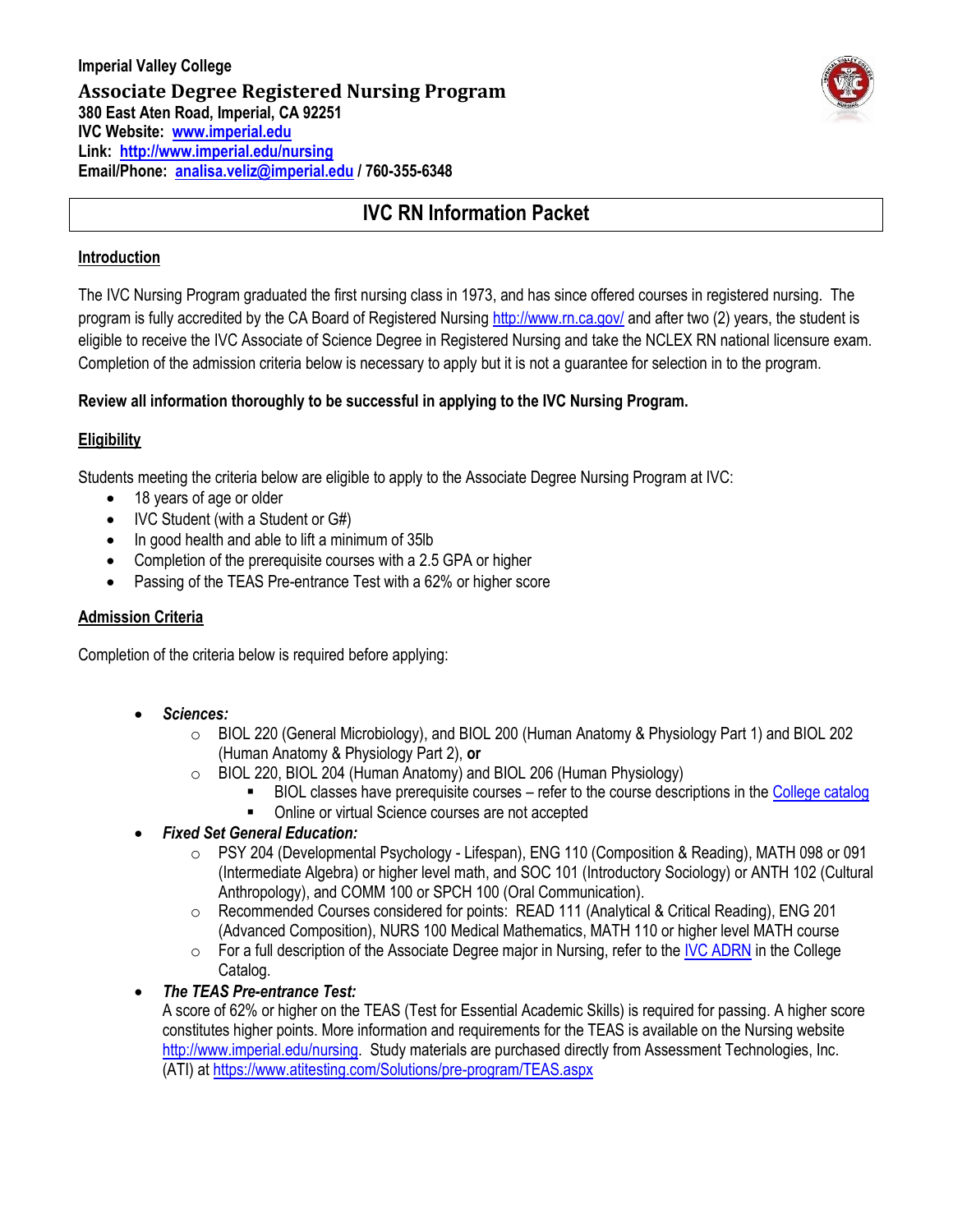

# **IVC RN Information Packet**

## **Introduction**

The IVC Nursing Program graduated the first nursing class in 1973, and has since offered courses in registered nursing. The program is fully accredited by the CA Board of Registered Nursin[g http://www.rn.ca.gov/](http://www.rn.ca.gov/) and after two (2) years, the student is eligible to receive the IVC Associate of Science Degree in Registered Nursing and take the NCLEX RN national licensure exam. Completion of the admission criteria below is necessary to apply but it is not a guarantee for selection in to the program.

## **Review all information thoroughly to be successful in applying to the IVC Nursing Program.**

## **Eligibility**

Students meeting the criteria below are eligible to apply to the Associate Degree Nursing Program at IVC:

- 18 years of age or older
- IVC Student (with a Student or G#)
- In good health and able to lift a minimum of 35lb
- Completion of the prerequisite courses with a 2.5 GPA or higher
- Passing of the TEAS Pre-entrance Test with a 62% or higher score

#### **Admission Criteria**

Completion of the criteria below is required before applying:

- *Sciences:*
	- o BIOL 220 (General Microbiology), and BIOL 200 (Human Anatomy & Physiology Part 1) and BIOL 202 (Human Anatomy & Physiology Part 2), **or**
	- o BIOL 220, BIOL 204 (Human Anatomy) and BIOL 206 (Human Physiology)
		- **BIOL classes have prerequisite courses refer to the course descriptions in th[e College catalog](file:///Z:/0%20NURS%20-%20RN/2%20ADMISSION%20INFO%20(Policies%20%20&%20Forms)/0-RN%20BROCHURE%20&%20INFO/2016-2017%20Catalog%20-%20Part%2008%20-%20Courses%20of%20Instruction%20(6).pdf)**
		- Online or virtual Science courses are not accepted

## *Fixed Set General Education:*

- o PSY 204 (Developmental Psychology Lifespan), ENG 110 (Composition & Reading), MATH 098 or 091 (Intermediate Algebra) or higher level math, and SOC 101 (Introductory Sociology) or ANTH 102 (Cultural Anthropology), and COMM 100 or SPCH 100 (Oral Communication).
- o Recommended Courses considered for points: READ 111 (Analytical & Critical Reading), ENG 201 (Advanced Composition), NURS 100 Medical Mathematics, MATH 110 or higher level MATH course
- $\circ$  For a full description of the Associate Degree major in Nursing, refer to the [IVC ADRN](file://///IT903S-MYDOCS/My%20Docs/laura.gudino/My%20Documents/1PDF%20Files/1-FORMS/Associate%20Degree%20in%20Nursing%202016-2017%20(1).pdf) in the College Catalog.
- *The TEAS Pre-entrance Test:* 
	- A score of 62% or higher on the TEAS (Test for Essential Academic Skills) is required for passing. A higher score constitutes higher points. More information and requirements for the TEAS is available on the Nursing website [http://www.imperial.edu/nursing.](http://www.imperial.edu/nursing) Study materials are purchased directly from Assessment Technologies, Inc. (ATI) at<https://www.atitesting.com/Solutions/pre-program/TEAS.aspx>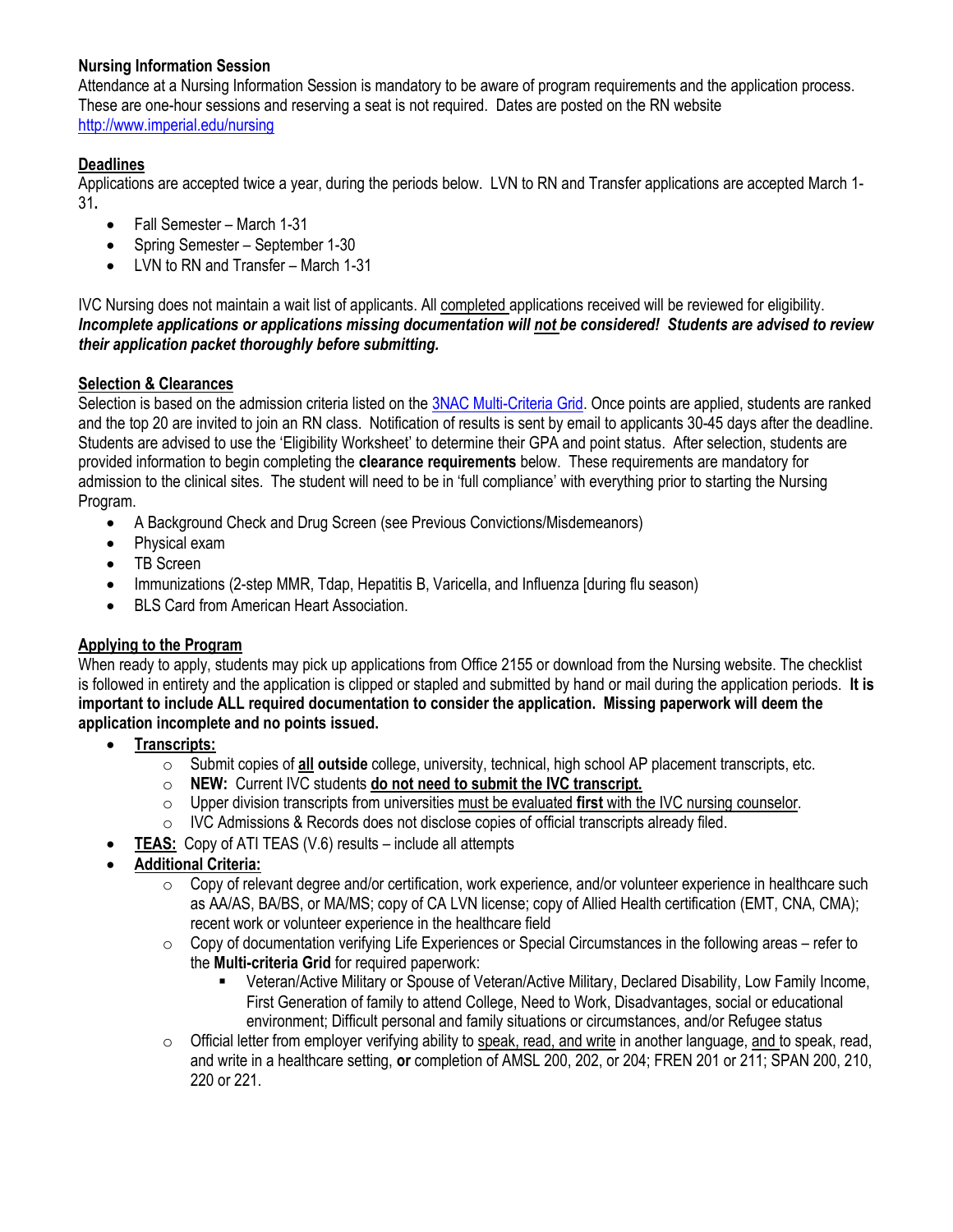#### **Nursing Information Session**

Attendance at a Nursing Information Session is mandatory to be aware of program requirements and the application process. These are one-hour sessions and reserving a seat is not required. Dates are posted on the RN website <http://www.imperial.edu/nursing>

## **Deadlines**

Applications are accepted twice a year, during the periods below. LVN to RN and Transfer applications are accepted March 1- 31**.** 

- Fall Semester March 1-31
- Spring Semester September 1-30
- LVN to RN and Transfer March 1-31

IVC Nursing does not maintain a wait list of applicants. All completed applications received will be reviewed for eligibility. *Incomplete applications or applications missing documentation will not be considered! Students are advised to review their application packet thoroughly before submitting.*

#### **Selection & Clearances**

Selection is based on the admission criteria listed on th[e 3NAC Multi-Criteria Grid.](file:///C:/Users/analisa.veliz/AppData/Local/Microsoft/Windows/Temporary%20Internet%20Files/Content.Outlook/VQ06D1C3/Use%20-%20Multi-Criteria%20Grid%205-2017.docx) Once points are applied, students are ranked and the top 20 are invited to join an RN class. Notification of results is sent by email to applicants 30-45 days after the deadline. Students are advised to use the 'Eligibility Worksheet' to determine their GPA and point status. After selection, students are provided information to begin completing the **clearance requirements** below. These requirements are mandatory for admission to the clinical sites. The student will need to be in 'full compliance' with everything prior to starting the Nursing Program.

- A Background Check and Drug Screen (see Previous Convictions/Misdemeanors)
- Physical exam
- TR Screen
- Immunizations (2-step MMR, Tdap, Hepatitis B, Varicella, and Influenza [during flu season)
- BLS Card from American Heart Association.

#### **Applying to the Program**

When ready to apply, students may pick up applications from Office 2155 or download from the Nursing website. The checklist is followed in entirety and the application is clipped or stapled and submitted by hand or mail during the application periods. **It is important to include ALL required documentation to consider the application. Missing paperwork will deem the application incomplete and no points issued.** 

- **Transcripts:** 
	- o Submit copies of **all outside** college, university, technical, high school AP placement transcripts, etc.
	- o **NEW:** Current IVC students **do not need to submit the IVC transcript.**
	- o Upper division transcripts from universities must be evaluated **first** with the IVC nursing counselor.
	- o IVC Admissions & Records does not disclose copies of official transcripts already filed.
- **TEAS:** Copy of ATI TEAS (V.6) results include all attempts
- **Additional Criteria:**
	- $\circ$  Copy of relevant degree and/or certification, work experience, and/or volunteer experience in healthcare such as AA/AS, BA/BS, or MA/MS; copy of CA LVN license; copy of Allied Health certification (EMT, CNA, CMA); recent work or volunteer experience in the healthcare field
	- $\circ$  Copy of documentation verifying Life Experiences or Special Circumstances in the following areas refer to the **Multi-criteria Grid** for required paperwork:
		- Veteran/Active Military or Spouse of Veteran/Active Military, Declared Disability, Low Family Income, First Generation of family to attend College, Need to Work, Disadvantages, social or educational environment; Difficult personal and family situations or circumstances, and/or Refugee status
	- $\circ$  Official letter from employer verifying ability to speak, read, and write in another language, and to speak, read, and write in a healthcare setting, **or** completion of AMSL 200, 202, or 204; FREN 201 or 211; SPAN 200, 210, 220 or 221.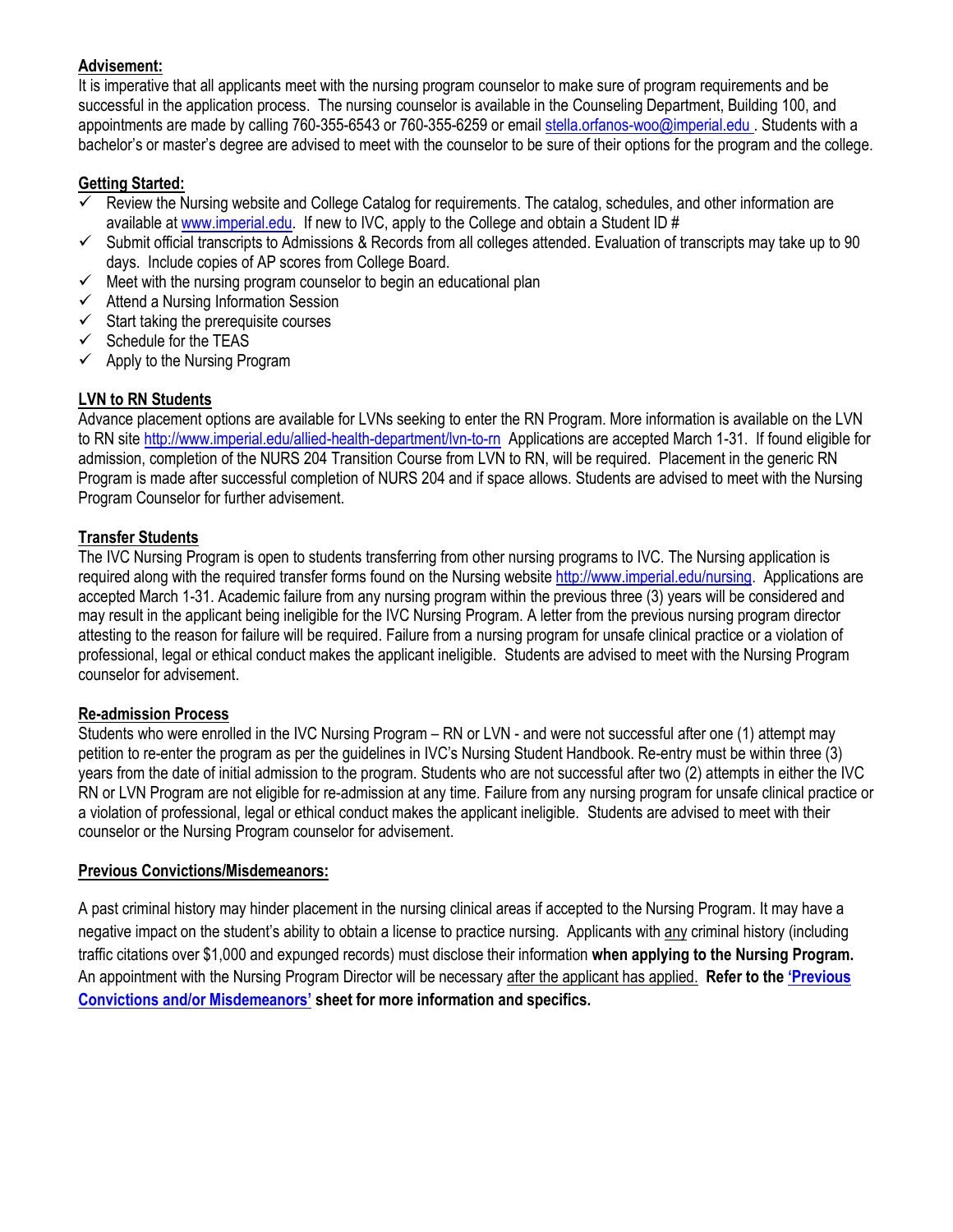#### **Advisement:**

It is imperative that all applicants meet with the nursing program counselor to make sure of program requirements and be successful in the application process. The nursing counselor is available in the Counseling Department, Building 100, and appointments are made by calling 760-355-6543 or 760-355-6259 or emai[l stella.orfanos-woo@imperial.edu](mailto:stella.orfanos-woo@imperial.edu) . Students with a bachelor's or master's degree are advised to meet with the counselor to be sure of their options for the program and the college.

#### **Getting Started:**

- $\checkmark$  Review the Nursing website and College Catalog for requirements. The catalog, schedules, and other information are available a[t www.imperial.edu.](http://www.imperial.edu/) If new to IVC, apply to the College and obtain a Student ID #
- $\checkmark$  Submit official transcripts to Admissions & Records from all colleges attended. Evaluation of transcripts may take up to 90 days. Include copies of AP scores from College Board.
- $\checkmark$  Meet with the nursing program counselor to begin an educational plan
- $\checkmark$  Attend a Nursing Information Session
- $\checkmark$  Start taking the prerequisite courses
- $\checkmark$  Schedule for the TEAS
- $\checkmark$  Apply to the Nursing Program

#### **LVN to RN Students**

Advance placement options are available for LVNs seeking to enter the RN Program. More information is available on the LVN to RN sit[e http://www.imperial.edu/allied-health-department/lvn-to-rn](http://www.imperial.edu/allied-health-department/lvn-to-rn) Applications are accepted March 1-31. If found eligible for admission, completion of the NURS 204 Transition Course from LVN to RN, will be required. Placement in the generic RN Program is made after successful completion of NURS 204 and if space allows. Students are advised to meet with the Nursing Program Counselor for further advisement.

#### **Transfer Students**

The IVC Nursing Program is open to students transferring from other nursing programs to IVC. The Nursing application is required along with the required transfer forms found on the Nursing website [http://www.imperial.edu/nursing.](http://www.imperial.edu/nursing) Applications are accepted March 1-31. Academic failure from any nursing program within the previous three (3) years will be considered and may result in the applicant being ineligible for the IVC Nursing Program. A letter from the previous nursing program director attesting to the reason for failure will be required. Failure from a nursing program for unsafe clinical practice or a violation of professional, legal or ethical conduct makes the applicant ineligible. Students are advised to meet with the Nursing Program counselor for advisement.

#### **Re-admission Process**

Students who were enrolled in the IVC Nursing Program – RN or LVN - and were not successful after one (1) attempt may petition to re-enter the program as per the guidelines in IVC's Nursing Student Handbook. Re-entry must be within three (3) years from the date of initial admission to the program. Students who are not successful after two (2) attempts in either the IVC RN or LVN Program are not eligible for re-admission at any time. Failure from any nursing program for unsafe clinical practice or a violation of professional, legal or ethical conduct makes the applicant ineligible. Students are advised to meet with their counselor or the Nursing Program counselor for advisement.

#### **Previous Convictions/Misdemeanors:**

A past criminal history may hinder placement in the nursing clinical areas if accepted to the Nursing Program. It may have a negative impact on the student's ability to obtain a license to practice nursing. Applicants with any criminal history (including traffic citations over \$1,000 and expunged records) must disclose their information **when applying to the Nursing Program.**  An appointment with the Nursing Program Director will be necessary after the applicant has applied. **Refer to the ['Previous](file:///C:/Users/analisa.veliz/AppData/Local/Microsoft/Windows/Temporary%20Internet%20Files/Content.Outlook/VQ06D1C3/Use%20-%20Previous%20Convictions.docx)  [Convictions and/or Misdemeanors'](file:///C:/Users/analisa.veliz/AppData/Local/Microsoft/Windows/Temporary%20Internet%20Files/Content.Outlook/VQ06D1C3/Use%20-%20Previous%20Convictions.docx) sheet for more information and specifics.**